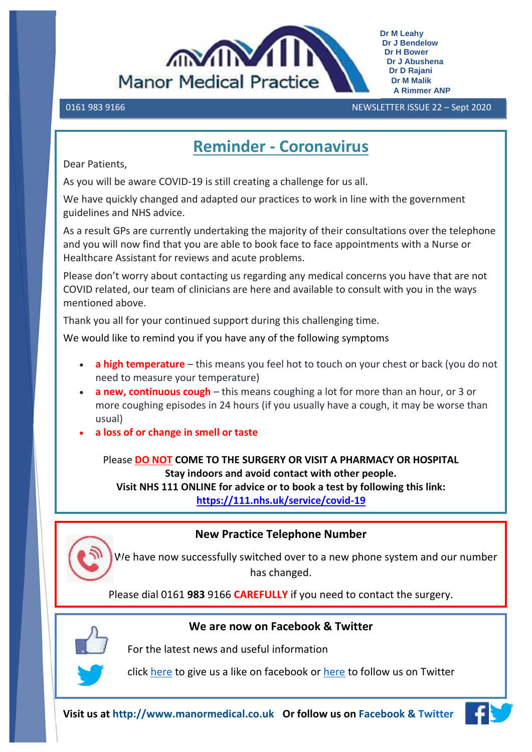

0161 983 9166 NEWSLETTER ISSUE 22 – Sept 2020 

## **Reminder - Coronavirus**

Dear Patients,

As you will be aware COVID-19 is still creating a challenge for us all.

We have quickly changed and adapted our practices to work in line with the government guidelines and NHS advice.

As a result GPs are currently undertaking the majority of their consultations over the telephone and you will now find that you are able to book face to face appointments with a Nurse or Healthcare Assistant for reviews and acute problems.

Please don't worry about contacting us regarding any medical concerns you have that are not COVID related, our team of clinicians are here and available to consult with you in the ways mentioned above.

Thank you all for your continued support during this challenging time.

We would like to remind you if you have any of the following symptoms

- **a high temperature** this means you feel hot to touch on your chest or back (you do not need to measure your temperature)
- **a new, continuous cough** this means coughing a lot for more than an hour, or 3 or more coughing episodes in 24 hours (if you usually have a cough, it may be worse than usual)
- **a loss of or change in smell or taste**

Please **DO NOT COME TO THE SURGERY OR VISIT A PHARMACY OR HOSPITAL Stay indoors and avoid contact with other people.**

**Visit NHS 111 ONLINE for advice or to book a test by following this link: <https://111.nhs.uk/service/covid-19>**

### **New Practice Telephone Number**

 We have now successfully switched over to a new phone system and our number has changed.

Please dial 0161 **983** 9166 **CAREFULLY** if you need to contact the surgery.



### **We are now on Facebook & Twitter**

For the latest news and useful information

click [here](https://www.facebook.com/pg/Manor-Medical-Practice-Stockport-347858926025014/posts/?ref=page_internal) to give us a like on facebook or [here](https://twitter.com/MedicalManor) to follow us on Twitter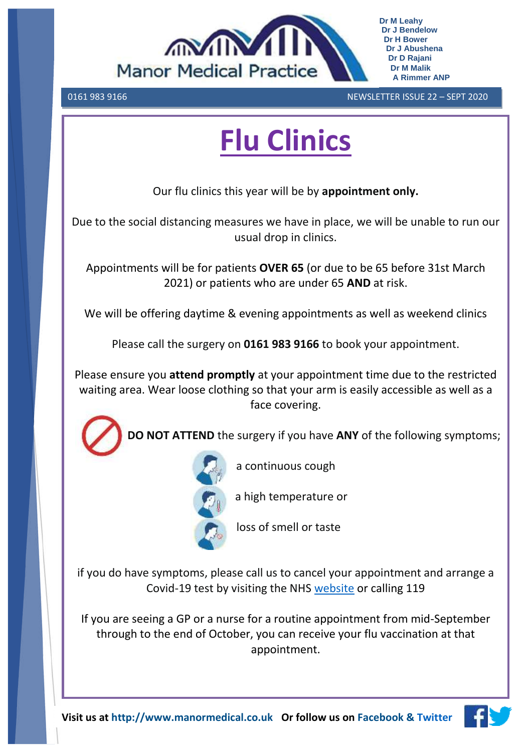

0161 983 9166 NEWSLETTER ISSUE 22 – SEPT 2020 

# **Flu Clinics**

Our flu clinics this year will be by **appointment only.**

Due to the social distancing measures we have in place, we will be unable to run our usual drop in clinics.

Appointments will be for patients **OVER 65** (or due to be 65 before 31st March 2021) or patients who are under 65 **AND** at risk.

We will be offering daytime & evening appointments as well as weekend clinics

Please call the surgery on **0161 983 9166** to book your appointment.

Please ensure you **attend promptly** at your appointment time due to the restricted waiting area. Wear loose clothing so that your arm is easily accessible as well as a face covering.



 **DO NOT ATTEND** the surgery if you have **ANY** of the following symptoms;



a continuous cough

a high temperature or

loss of smell or taste

if you do have symptoms, please call us to cancel your appointment and arrange a Covid-19 test by visiting the NHS [website](https://www.nhs.uk/conditions/coronavirus-covid-19/testing-and-tracing/get-a-test-to-check-if-you-have-coronavirus/) or calling 119

If you are seeing a GP or a nurse for a routine appointment from mid-September through to the end of October, you can receive your flu vaccination at that appointment.

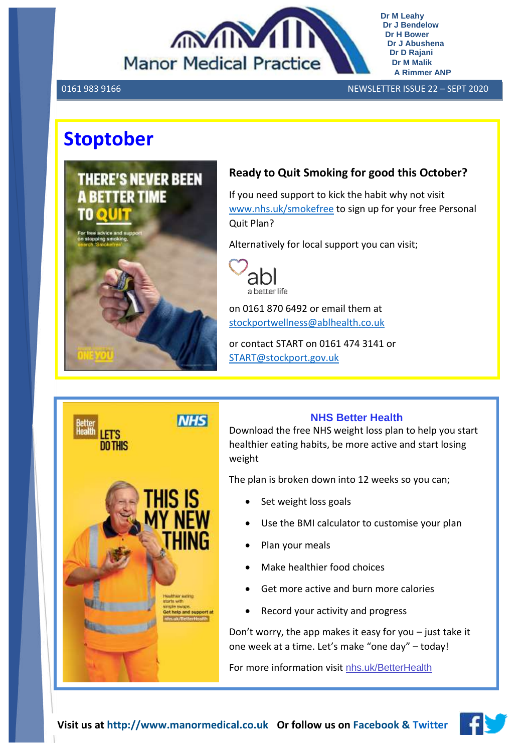

0161 983 9166 NEWSLETTER ISSUE 22 – SEPT 2020

# **Stoptober**



### **Ready to Quit Smoking for good this October?**

If you need support to kick the habit why not visit [www.nhs.uk/smokefree](http://www.nhs.uk/smokefree) to sign up for your free Personal Quit Plan?

Alternatively for local support you can visit;



on 0161 870 6492 or email them at [stockportwellness@ablhealth.co.uk](mailto:stockportwellness@ablhealth.co.uk)

or contact START on 0161 474 3141 or [START@stockport.gov.uk](mailto:START@stockport.gov.uk)



### **NHS Better Health**

Download the free NHS weight loss plan to help you start healthier eating habits, be more active and start losing weight

The plan is broken down into 12 weeks so you can;

- Set weight loss goals
- Use the BMI calculator to customise your plan
- Plan your meals
- Make healthier food choices
- Get more active and burn more calories
- Record your activity and progress

Don't worry, the app makes it easy for you – just take it one week at a time. Let's make "one day" – today!

For more information visit [nhs.uk/BetterHealth](https://l.facebook.com/l.php?u=http%3A%2F%2Fnhs.uk%2FBetterHealth%3Ffbclid%3DIwAR0R7JzkADnW6mcUBorG2PPtuB-1l6ELxxoH2cj5Uw-V4EHNelMsu5lzupE&h=AT3xPmfurYheIYch7cGdx5WN4irH56KRbDevNjK_OZn0vX4BRXh7wcpo5BxKcxNsaatRpG5nGaCbnRSIFM7YKwcz7bcgLfW3_feknhfwTWWyxOk8b7Q_kMXGsLF7fHfFe3dY2vcj4If9oLtLarjCxrTvrEC4ZDka58sCEyZ7oxN-f6zIWvuWVLdNMebqLh0XDNlKKIGQ3QxBLwn4BtCNX9N5AMRAILen6gML7-5xB7GenHXrwpnzeXUmGMS3yMg3gu8C1FptdhUk0adZkXOzK8bZbogUNkVFZybBxwObyW3fIGRAJLZxlB7Y1s66E6f85vKQVHtYavabAo4c3hQCCD9KWhxf_xQjopReHiFX4t7ABBgNBsLweEB5NZl_rsqQR1bDxw8I4epkeaYGQBG1CJWE4c7rEsBD8pI34VqLfMxwnTunt-nTmlBSdoS2fWAd55K1m2uGpJZ_W9N_5E8wL2G7TEN1oht2cawh1Q5YMvYUhxDO4kAlxtNON0ihmxiA_53cYTI3pTmbyHbB9R9VPP0VgpY5Mq7YDRrbE360db73su1ipKd_lzciSz_69TnAsvdMPaszcpWvpf0eR3xxEJEGsjlU3oauqyIiy9prBXAEo2PUOfoI6i9KB_y8wjCHtQ)